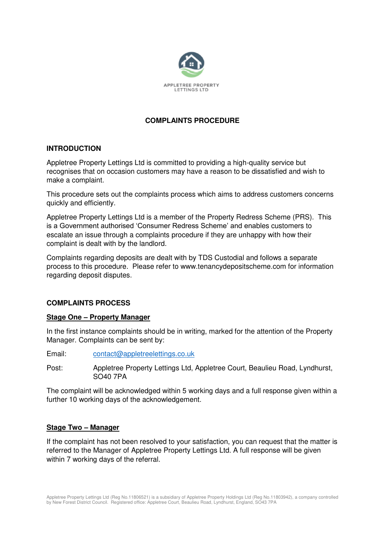

# **COMPLAINTS PROCEDURE**

### **INTRODUCTION**

Appletree Property Lettings Ltd is committed to providing a high-quality service but recognises that on occasion customers may have a reason to be dissatisfied and wish to make a complaint.

This procedure sets out the complaints process which aims to address customers concerns quickly and efficiently.

Appletree Property Lettings Ltd is a member of the Property Redress Scheme (PRS). This is a Government authorised 'Consumer Redress Scheme' and enables customers to escalate an issue through a complaints procedure if they are unhappy with how their complaint is dealt with by the landlord.

Complaints regarding deposits are dealt with by TDS Custodial and follows a separate process to this procedure. Please refer to www.tenancydepositscheme.com for information regarding deposit disputes.

## **COMPLAINTS PROCESS**

#### **Stage One – Property Manager**

In the first instance complaints should be in writing, marked for the attention of the Property Manager. Complaints can be sent by:

Email: [contact@appletreelettings.co.uk](mailto:contact@appletreelettings.co.uk)

Post: Appletree Property Lettings Ltd, Appletree Court, Beaulieu Road, Lyndhurst, SO40 7PA

The complaint will be acknowledged within 5 working days and a full response given within a further 10 working days of the acknowledgement.

#### **Stage Two – Manager**

If the complaint has not been resolved to your satisfaction, you can request that the matter is referred to the Manager of Appletree Property Lettings Ltd. A full response will be given within 7 working days of the referral.